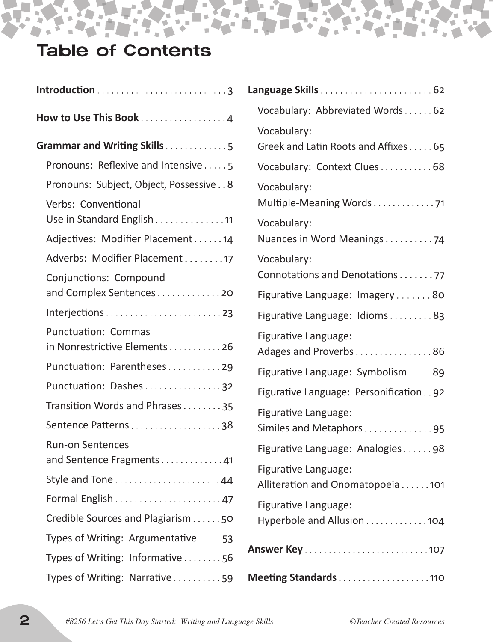# Table of Contents

 $\blacksquare$ 

N

Ĩ.

×.

à.

| How to Use This Book 4                                      |
|-------------------------------------------------------------|
| Grammar and Writing Skills5                                 |
| Pronouns: Reflexive and Intensive5                          |
| Pronouns: Subject, Object, Possessive 8                     |
| Verbs: Conventional<br>Use in Standard English 11           |
| Adjectives: Modifier Placement 14                           |
| Adverbs: Modifier Placement17                               |
| Conjunctions: Compound<br>and Complex Sentences20           |
| Interjections23                                             |
| <b>Punctuation: Commas</b><br>in Nonrestrictive Elements 26 |
| Punctuation: Parentheses29                                  |
| Punctuation: Dashes32                                       |
| Transition Words and Phrases35                              |
| Sentence Patterns38                                         |
| <b>Run-on Sentences</b>                                     |
|                                                             |
|                                                             |
| Credible Sources and Plagiarism 50                          |
| Types of Writing: Argumentative53                           |
| Types of Writing: Informative56                             |
| Types of Writing: Narrative 59                              |

| Vocabulary: Abbreviated Words62                          |
|----------------------------------------------------------|
| Vocabulary:<br>Greek and Latin Roots and Affixes 65      |
| Vocabulary: Context Clues 68                             |
| Vocabulary:<br>Multiple-Meaning Words71                  |
| Vocabulary:<br>Nuances in Word Meanings74                |
| Vocabulary:<br>Connotations and Denotations 77           |
| Figurative Language: Imagery80                           |
| Figurative Language: Idioms83                            |
| Figurative Language:<br>Adages and Proverbs 86           |
| Figurative Language: Symbolism 89                        |
| Figurative Language: Personification92                   |
| Figurative Language:<br>Similes and Metaphors95          |
| Figurative Language: Analogies98                         |
| Figurative Language:<br>Alliteration and Onomatopoeia101 |
| Figurative Language:<br>Hyperbole and Allusion 104       |
|                                                          |
| Meeting Standards110                                     |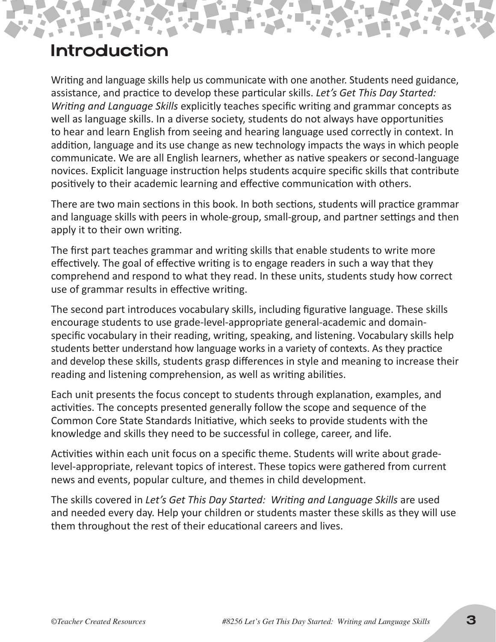### Introduction

Writing and language skills help us communicate with one another. Students need guidance, assistance, and practice to develop these particular skills. *Let's Get This Day Started: Writing and Language Skills* explicitly teaches specific writing and grammar concepts as well as language skills. In a diverse society, students do not always have opportunities to hear and learn English from seeing and hearing language used correctly in context. In addition, language and its use change as new technology impacts the ways in which people communicate. We are all English learners, whether as native speakers or second-language novices. Explicit language instruction helps students acquire specific skills that contribute positively to their academic learning and effective communication with others.

There are two main sections in this book. In both sections, students will practice grammar and language skills with peers in whole-group, small-group, and partner settings and then apply it to their own writing.

The first part teaches grammar and writing skills that enable students to write more effectively. The goal of effective writing is to engage readers in such a way that they comprehend and respond to what they read. In these units, students study how correct use of grammar results in effective writing.

The second part introduces vocabulary skills, including figurative language. These skills encourage students to use grade-level-appropriate general-academic and domainspecific vocabulary in their reading, writing, speaking, and listening. Vocabulary skills help students better understand how language works in a variety of contexts. As they practice and develop these skills, students grasp differences in style and meaning to increase their reading and listening comprehension, as well as writing abilities.

Each unit presents the focus concept to students through explanation, examples, and activities. The concepts presented generally follow the scope and sequence of the Common Core State Standards Initiative, which seeks to provide students with the knowledge and skills they need to be successful in college, career, and life.

Activities within each unit focus on a specific theme. Students will write about gradelevel-appropriate, relevant topics of interest. These topics were gathered from current news and events, popular culture, and themes in child development.

The skills covered in *Let's Get This Day Started: Writing and Language Skills* are used and needed every day. Help your children or students master these skills as they will use them throughout the rest of their educational careers and lives.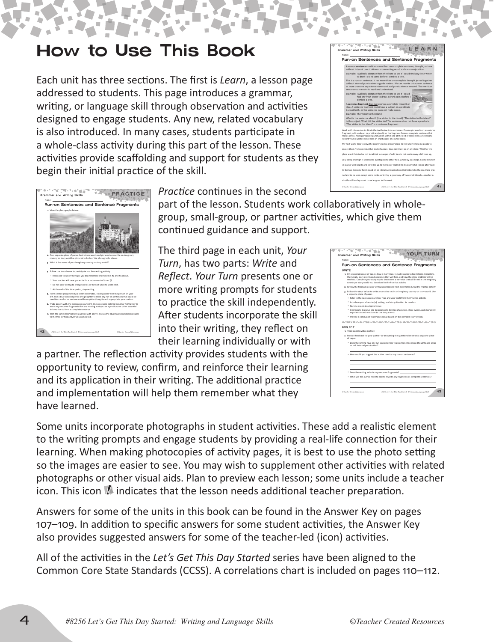### begin their initial practice of the skill.

How to Use This Book

Each unit has three sections. The first is *Learn*, a lesson page

 $\mathbb{R}^n$ 

addressed to students. This page introduces a grammar, writing, or language skill through observation and activities designed to engage students. Any new, related vocabulary is also introduced. In many cases, students participate in a whole-class activity during this part of the lesson. These activities provide scaffolding and support for students as they

42 *#8256 Let's Get This Day Started: Writing and Language Skills ©Teacher Created Resources* Name: **Grammar and Writing Skills** PRACTICE Run-on Sentences and **1.** View the photographs below. **2.** On a separate piece of paper, brainstorm words and phrases to describe an imaginary country or story world as pictured in both of the photographs above. **3.** What is the name of your imaginary country or story world? 4. Follow the steps below to participate in a free-writing activity. Relax and focus on the topic you brainstormed and noted in #2 and #3 above. \* Your teacher will have you write for a set amount of time. **Do not stop writing to change words or think of what to write next.** <sup>=</sup> At the end of the time period, stop writing. **5.** Form a small group with two other classmates. Trade papers with the person on your left. Use a blue-colored pencil or highlighter to mark any run-on sentences that could be rewritten as shorter sentences with complete thoughts and appropriate punctuation. **6.** Trade papers with the person on your right. Use an orange-colored pencil or highlighter to mark any sentence fragments that are missing a subject or a predicate or other essential information to form a complete sentence. **7.** With the same classmates you worked with above, discuss the advantages and disadvantages to the free-writing activity you completed.

*Practice* continues in the second

part of the lesson. Students work collaboratively in wholegroup, small-group, or partner activities, which give them continued guidance and support.

The third page in each unit, *Your Turn*, has two parts: *Write* and *Reflect*. *Your Turn* presents one or more writing prompts for students to practice the skill independently. After students incorporate the skill into their writing, they reflect on their learning individually or with

a partner. The reflection activity provides students with the opportunity to review, confirm, and reinforce their learning and its application in their writing. The additional practice and implementation will help them remember what they have learned.

Some units incorporate photographs in student activities. These add a realistic element to the writing prompts and engage students by providing a real-life connection for their learning. When making photocopies of activity pages, it is best to use the photo setting so the images are easier to see. You may wish to supplement other activities with related photographs or other visual aids. Plan to preview each lesson; some units include a teacher icon. This icon  $\blacksquare$  indicates that the lesson needs additional teacher preparation.

Answers for some of the units in this book can be found in the Answer Key on pages 107–109. In addition to specific answers for some student activities, the Answer Key also provides suggested answers for some of the teacher-led (icon) activities.

All of the activities in the *Let's Get This Day Started* series have been aligned to the Common Core State Standards (CCSS). A correlations chart is included on pages 110–112.



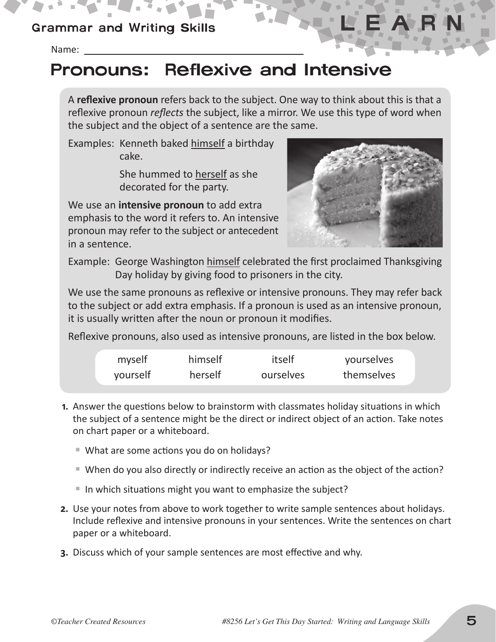#### Grammar and Writing Skills

Name:

## Pronouns: Reflexive and Intensive

A **reflexive pronoun** refers back to the subject. One way to think about this is that a reflexive pronoun *reflects* the subject, like a mirror. We use this type of word when the subject and the object of a sentence are the same.

Examples: Kenneth baked himself a birthday cake.

> She hummed to herself as she decorated for the party.

We use an **intensive pronoun** to add extra emphasis to the word it refers to. An intensive pronoun may refer to the subject or antecedent in a sentence.



Example: George Washington himself celebrated the first proclaimed Thanksgiving Day holiday by giving food to prisoners in the city.

We use the same pronouns as reflexive or intensive pronouns. They may refer back to the subject or add extra emphasis. If a pronoun is used as an intensive pronoun, it is usually written after the noun or pronoun it modifies.

Reflexive pronouns, also used as intensive pronouns, are listed in the box below.

| myself   | himself | itself    | yourselves |  |
|----------|---------|-----------|------------|--|
| yourself | herself | ourselves | themselves |  |

- **1.** Answer the questions below to brainstorm with classmates holiday situations in which the subject of a sentence might be the direct or indirect object of an action. Take notes on chart paper or a whiteboard.
	- ¡ What are some actions you do on holidays?
	- ¡ When do you also directly or indirectly receive an action as the object of the action?
	- ¡ In which situations might you want to emphasize the subject?
- **2.** Use your notes from above to work together to write sample sentences about holidays. Include reflexive and intensive pronouns in your sentences. Write the sentences on chart paper or a whiteboard.
- **3.** Discuss which of your sample sentences are most effective and why.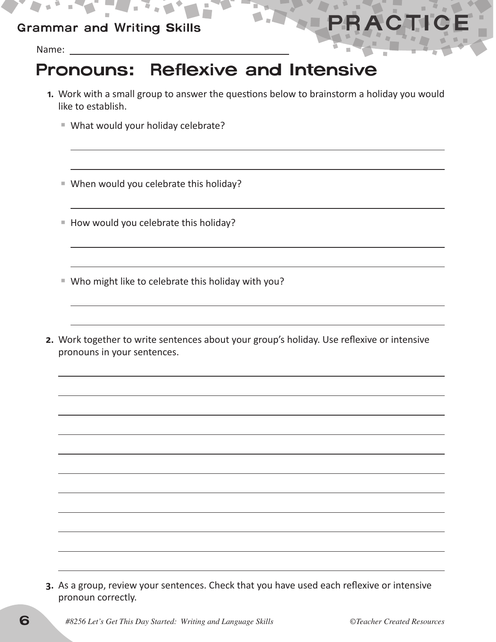#### Grammar and Writing Skills

Name:

## Pronouns: Reflexive and Intensive

- **1.** Work with a small group to answer the questions below to brainstorm a holiday you would like to establish.
	- ¡ What would your holiday celebrate?

 ¡ When would you celebrate this holiday?

- ¡ How would you celebrate this holiday?
- ¡ Who might like to celebrate this holiday with you?
- **2.** Work together to write sentences about your group's holiday. Use reflexive or intensive pronouns in your sentences.

**3.** As a group, review your sentences. Check that you have used each reflexive or intensive pronoun correctly.